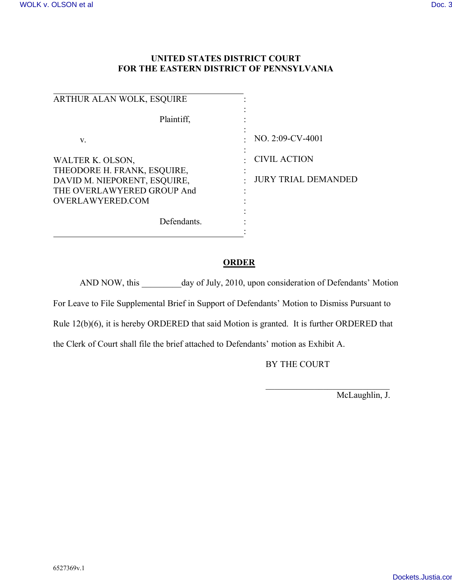| ARTHUR ALAN WOLK, ESQUIRE                                                                                                         |                                                   |
|-----------------------------------------------------------------------------------------------------------------------------------|---------------------------------------------------|
| Plaintiff,                                                                                                                        |                                                   |
| V.                                                                                                                                | NO. 2:09-CV-4001                                  |
| WALTER K. OLSON,<br>THEODORE H. FRANK, ESQUIRE,<br>DAVID M. NIEPORENT, ESQUIRE,<br>THE OVERLAWYERED GROUP And<br>OVERLAWYERED.COM | <b>CIVIL ACTION</b><br><b>JURY TRIAL DEMANDED</b> |
| Defendants.                                                                                                                       |                                                   |

# **ORDER**

:

AND NOW, this day of July, 2010, upon consideration of Defendants' Motion

For Leave to File Supplemental Brief in Support of Defendants' Motion to Dismiss Pursuant to

Rule 12(b)(6), it is hereby ORDERED that said Motion is granted. It is further ORDERED that

the Clerk of Court shall file the brief attached to Defendants' motion as Exhibit A.

BY THE COURT

 $\mathcal{L}_\text{max}$  , where  $\mathcal{L}_\text{max}$  , we have the set of the set of the set of the set of the set of the set of the set of the set of the set of the set of the set of the set of the set of the set of the set of the set of

McLaughlin, J.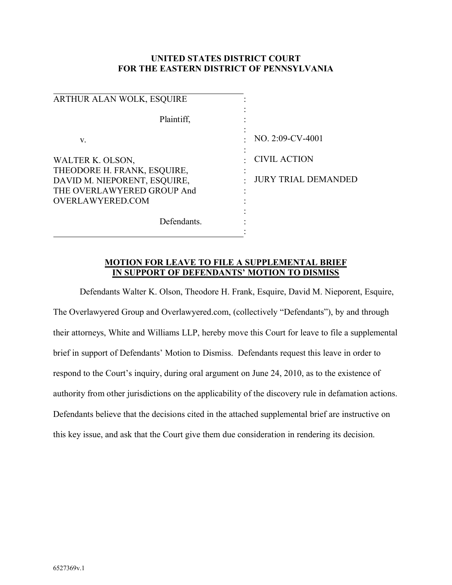| ARTHUR ALAN WOLK, ESQUIRE                                                                                                         |                                                   |
|-----------------------------------------------------------------------------------------------------------------------------------|---------------------------------------------------|
| Plaintiff,                                                                                                                        |                                                   |
| V.                                                                                                                                | NO. 2:09-CV-4001                                  |
| WALTER K. OLSON,<br>THEODORE H. FRANK, ESQUIRE,<br>DAVID M. NIEPORENT, ESQUIRE,<br>THE OVERLAWYERED GROUP And<br>OVERLAWYERED.COM | <b>CIVIL ACTION</b><br><b>JURY TRIAL DEMANDED</b> |
| Defendants.                                                                                                                       |                                                   |

# **MOTION FOR LEAVE TO FILE A SUPPLEMENTAL BRIEF IN SUPPORT OF DEFENDANTS' MOTION TO DISMISS**

Defendants Walter K. Olson, Theodore H. Frank, Esquire, David M. Nieporent, Esquire, The Overlawyered Group and Overlawyered.com, (collectively "Defendants"), by and through their attorneys, White and Williams LLP, hereby move this Court for leave to file a supplemental brief in support of Defendants' Motion to Dismiss. Defendants request this leave in order to respond to the Court's inquiry, during oral argument on June 24, 2010, as to the existence of authority from other jurisdictions on the applicability of the discovery rule in defamation actions. Defendants believe that the decisions cited in the attached supplemental brief are instructive on this key issue, and ask that the Court give them due consideration in rendering its decision.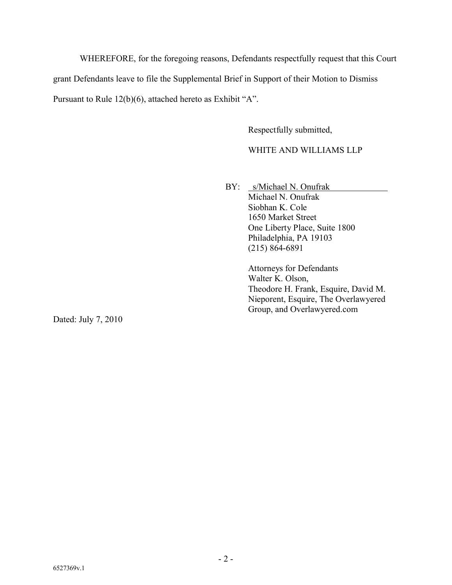WHEREFORE, for the foregoing reasons, Defendants respectfully request that this Court

grant Defendants leave to file the Supplemental Brief in Support of their Motion to Dismiss

Pursuant to Rule 12(b)(6), attached hereto as Exhibit "A".

Respectfully submitted,

WHITE AND WILLIAMS LLP

BY: s/Michael N. Onufrak

Michael N. Onufrak Siobhan K. Cole 1650 Market Street One Liberty Place, Suite 1800 Philadelphia, PA 19103 (215) 864-6891

Attorneys for Defendants Walter K. Olson, Theodore H. Frank, Esquire, David M. Nieporent, Esquire, The Overlawyered Group, and Overlawyered.com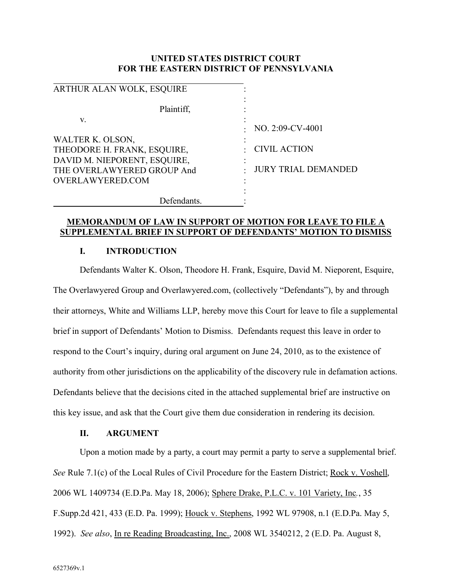| ARTHUR ALAN WOLK, ESQUIRE                                                                                                         |                                                   |
|-----------------------------------------------------------------------------------------------------------------------------------|---------------------------------------------------|
| Plaintiff,                                                                                                                        |                                                   |
| V.                                                                                                                                | NO. 2:09-CV-4001                                  |
| WALTER K. OLSON,<br>THEODORE H. FRANK, ESQUIRE,<br>DAVID M. NIEPORENT, ESQUIRE,<br>THE OVERLAWYERED GROUP And<br>OVERLAWYERED.COM | <b>CIVIL ACTION</b><br><b>JURY TRIAL DEMANDED</b> |
| Defendants.                                                                                                                       |                                                   |

# **MEMORANDUM OF LAW IN SUPPORT OF MOTION FOR LEAVE TO FILE A SUPPLEMENTAL BRIEF IN SUPPORT OF DEFENDANTS' MOTION TO DISMISS**

## **I. INTRODUCTION**

Defendants Walter K. Olson, Theodore H. Frank, Esquire, David M. Nieporent, Esquire, The Overlawyered Group and Overlawyered.com, (collectively "Defendants"), by and through their attorneys, White and Williams LLP, hereby move this Court for leave to file a supplemental brief in support of Defendants' Motion to Dismiss. Defendants request this leave in order to respond to the Court's inquiry, during oral argument on June 24, 2010, as to the existence of authority from other jurisdictions on the applicability of the discovery rule in defamation actions. Defendants believe that the decisions cited in the attached supplemental brief are instructive on this key issue, and ask that the Court give them due consideration in rendering its decision.

#### **II. ARGUMENT**

Upon a motion made by a party, a court may permit a party to serve a supplemental brief. *See* Rule 7.1(c) of the Local Rules of Civil Procedure for the Eastern District; Rock v. Voshell, 2006 WL 1409734 (E.D.Pa. May 18, 2006); Sphere Drake, P.L.C. v. 101 Variety, Inc*.*, 35 F.Supp.2d 421, 433 (E.D. Pa. 1999); Houck v. Stephens, 1992 WL 97908, n.1 (E.D.Pa. May 5, 1992). *See also*, In re Reading Broadcasting, Inc., 2008 WL 3540212, 2 (E.D. Pa. August 8,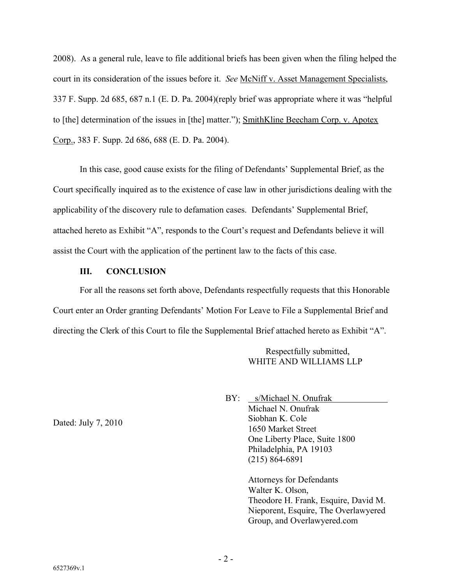2008). As a general rule, leave to file additional briefs has been given when the filing helped the court in its consideration of the issues before it. *See* McNiff v. Asset Management Specialists, 337 F. Supp. 2d 685, 687 n.1 (E. D. Pa. 2004)(reply brief was appropriate where it was "helpful to [the] determination of the issues in [the] matter."); SmithKline Beecham Corp. v. Apotex Corp., 383 F. Supp. 2d 686, 688 (E. D. Pa. 2004).

In this case, good cause exists for the filing of Defendants' Supplemental Brief, as the Court specifically inquired as to the existence of case law in other jurisdictions dealing with the applicability of the discovery rule to defamation cases. Defendants' Supplemental Brief, attached hereto as Exhibit "A", responds to the Court's request and Defendants believe it will assist the Court with the application of the pertinent law to the facts of this case.

#### **III. CONCLUSION**

For all the reasons set forth above, Defendants respectfully requests that this Honorable Court enter an Order granting Defendants' Motion For Leave to File a Supplemental Brief and directing the Clerk of this Court to file the Supplemental Brief attached hereto as Exhibit "A".

> Respectfully submitted, WHITE AND WILLIAMS LLP

BY: s/Michael N. Onufrak Michael N. Onufrak Siobhan K. Cole 1650 Market Street One Liberty Place, Suite 1800 Philadelphia, PA 19103 (215) 864-6891

> Attorneys for Defendants Walter K. Olson, Theodore H. Frank, Esquire, David M. Nieporent, Esquire, The Overlawyered Group, and Overlawyered.com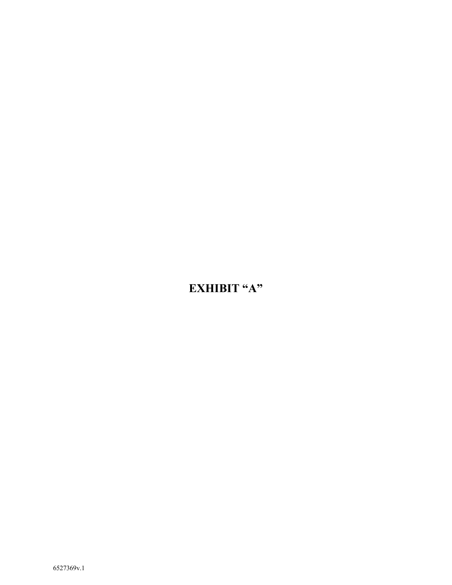# **EXHIBIT "A"**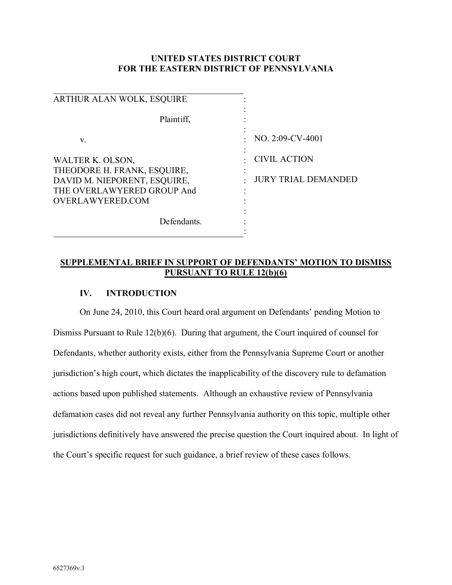| ARTHUR ALAN WOLK, ESQUIRE                                                                                                         |                                                   |
|-----------------------------------------------------------------------------------------------------------------------------------|---------------------------------------------------|
| Plaintiff.                                                                                                                        |                                                   |
| V.                                                                                                                                | NO. 2:09-CV-4001                                  |
| WALTER K. OLSON,<br>THEODORE H. FRANK, ESQUIRE,<br>DAVID M. NIEPORENT, ESQUIRE,<br>THE OVERLAWYERED GROUP And<br>OVERLAWYERED.COM | <b>CIVIL ACTION</b><br><b>JURY TRIAL DEMANDED</b> |
| Defendants.                                                                                                                       |                                                   |

# **SUPPLEMENTAL BRIEF IN SUPPORT OF DEFENDANTS' MOTION TO DISMISS PURSUANT TO RULE 12(b)(6)**

# **IV. INTRODUCTION**

On June 24, 2010, this Court heard oral argument on Defendants' pending Motion to Dismiss Pursuant to Rule 12(b)(6). During that argument, the Court inquired of counsel for Defendants, whether authority exists, either from the Pennsylvania Supreme Court or another jurisdiction's high court, which dictates the inapplicability of the discovery rule to defamation actions based upon published statements. Although an exhaustive review of Pennsylvania defamation cases did not reveal any further Pennsylvania authority on this topic, multiple other jurisdictions definitively have answered the precise question the Court inquired about. In light of the Court's specific request for such guidance, a brief review of these cases follows.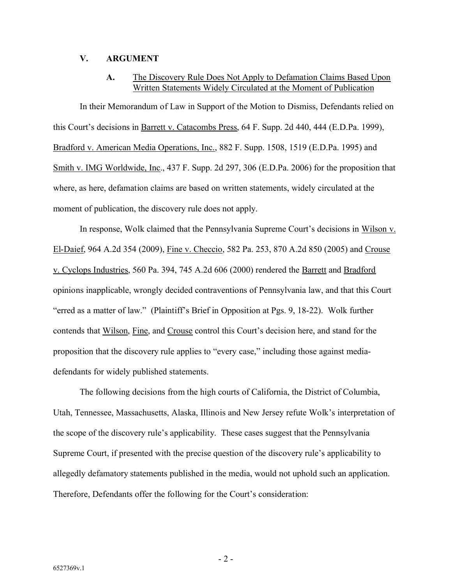#### **V. ARGUMENT**

# **A.** The Discovery Rule Does Not Apply to Defamation Claims Based Upon Written Statements Widely Circulated at the Moment of Publication

In their Memorandum of Law in Support of the Motion to Dismiss, Defendants relied on this Court's decisions in Barrett v. Catacombs Press, 64 F. Supp. 2d 440, 444 (E.D.Pa. 1999), Bradford v. American Media Operations, Inc., 882 F. Supp. 1508, 1519 (E.D.Pa. 1995) and Smith v. IMG Worldwide, Inc., 437 F. Supp. 2d 297, 306 (E.D.Pa. 2006) for the proposition that where, as here, defamation claims are based on written statements, widely circulated at the moment of publication, the discovery rule does not apply.

In response, Wolk claimed that the Pennsylvania Supreme Court's decisions in Wilson v. El-Daief, 964 A.2d 354 (2009), Fine v. Checcio, 582 Pa. 253, 870 A.2d 850 (2005) and Crouse v. Cyclops Industries, 560 Pa. 394, 745 A.2d 606 (2000) rendered the Barrett and Bradford opinions inapplicable, wrongly decided contraventions of Pennsylvania law, and that this Court "erred as a matter of law." (Plaintiff's Brief in Opposition at Pgs. 9, 18-22). Wolk further contends that Wilson, Fine, and Crouse control this Court's decision here, and stand for the proposition that the discovery rule applies to "every case," including those against mediadefendants for widely published statements.

The following decisions from the high courts of California, the District of Columbia, Utah, Tennessee, Massachusetts, Alaska, Illinois and New Jersey refute Wolk's interpretation of the scope of the discovery rule's applicability. These cases suggest that the Pennsylvania Supreme Court, if presented with the precise question of the discovery rule's applicability to allegedly defamatory statements published in the media, would not uphold such an application. Therefore, Defendants offer the following for the Court's consideration:

- 2 -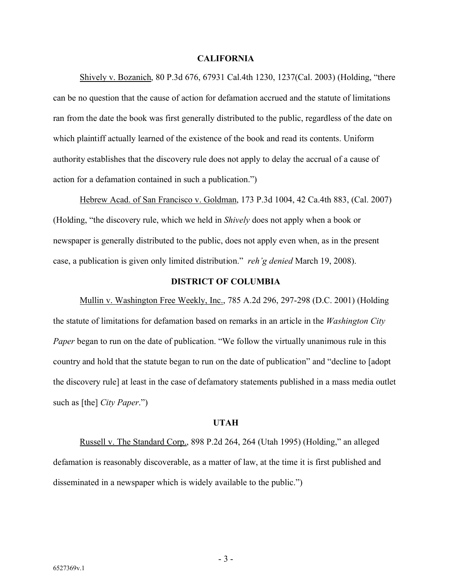#### **CALIFORNIA**

Shively v. Bozanich, 80 P.3d 676, 67931 Cal.4th 1230, 1237(Cal. 2003) (Holding, "there can be no question that the cause of action for defamation accrued and the statute of limitations ran from the date the book was first generally distributed to the public, regardless of the date on which plaintiff actually learned of the existence of the book and read its contents. Uniform authority establishes that the discovery rule does not apply to delay the accrual of a cause of action for a defamation contained in such a publication.")

Hebrew Acad. of San Francisco v. Goldman, 173 P.3d 1004, 42 Ca.4th 883, (Cal. 2007) (Holding, "the discovery rule, which we held in *Shively* does not apply when a book or newspaper is generally distributed to the public, does not apply even when, as in the present case, a publication is given only limited distribution." *reh'g denied* March 19, 2008).

## **DISTRICT OF COLUMBIA**

Mullin v. Washington Free Weekly, Inc., 785 A.2d 296, 297-298 (D.C. 2001) (Holding the statute of limitations for defamation based on remarks in an article in the *Washington City Paper* began to run on the date of publication. "We follow the virtually unanimous rule in this country and hold that the statute began to run on the date of publication" and "decline to [adopt the discovery rule] at least in the case of defamatory statements published in a mass media outlet such as [the] *City Paper*.")

## **UTAH**

Russell v. The Standard Corp., 898 P.2d 264, 264 (Utah 1995) (Holding," an alleged defamation is reasonably discoverable, as a matter of law, at the time it is first published and disseminated in a newspaper which is widely available to the public.")

- 3 -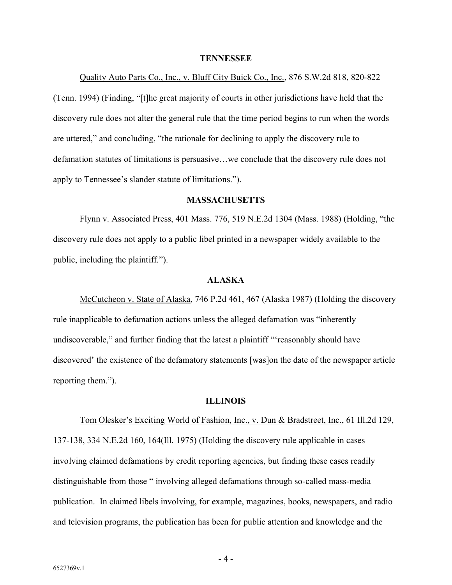#### **TENNESSEE**

Quality Auto Parts Co., Inc., v. Bluff City Buick Co., Inc., 876 S.W.2d 818, 820-822 (Tenn. 1994) (Finding, "[t]he great majority of courts in other jurisdictions have held that the discovery rule does not alter the general rule that the time period begins to run when the words are uttered," and concluding, "the rationale for declining to apply the discovery rule to defamation statutes of limitations is persuasive…we conclude that the discovery rule does not apply to Tennessee's slander statute of limitations.").

#### **MASSACHUSETTS**

Flynn v. Associated Press, 401 Mass. 776, 519 N.E.2d 1304 (Mass. 1988) (Holding, "the discovery rule does not apply to a public libel printed in a newspaper widely available to the public, including the plaintiff.").

## **ALASKA**

McCutcheon v. State of Alaska, 746 P.2d 461, 467 (Alaska 1987) (Holding the discovery rule inapplicable to defamation actions unless the alleged defamation was "inherently undiscoverable," and further finding that the latest a plaintiff "'reasonably should have discovered' the existence of the defamatory statements [was]on the date of the newspaper article reporting them.").

#### **ILLINOIS**

Tom Olesker's Exciting World of Fashion, Inc., v. Dun & Bradstreet, Inc., 61 Ill.2d 129, 137-138, 334 N.E.2d 160, 164(Ill. 1975) (Holding the discovery rule applicable in cases involving claimed defamations by credit reporting agencies, but finding these cases readily distinguishable from those " involving alleged defamations through so-called mass-media publication. In claimed libels involving, for example, magazines, books, newspapers, and radio and television programs, the publication has been for public attention and knowledge and the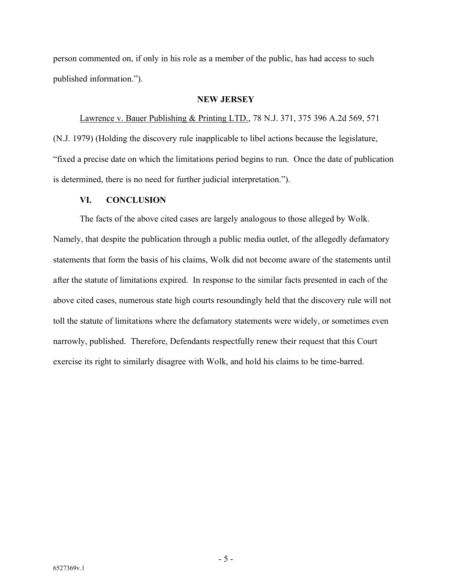person commented on, if only in his role as a member of the public, has had access to such published information.").

#### **NEW JERSEY**

Lawrence v. Bauer Publishing & Printing LTD., 78 N.J. 371, 375 396 A.2d 569, 571 (N.J. 1979) (Holding the discovery rule inapplicable to libel actions because the legislature, "fixed a precise date on which the limitations period begins to run. Once the date of publication is determined, there is no need for further judicial interpretation.").

#### **VI. CONCLUSION**

The facts of the above cited cases are largely analogous to those alleged by Wolk. Namely, that despite the publication through a public media outlet, of the allegedly defamatory statements that form the basis of his claims, Wolk did not become aware of the statements until after the statute of limitations expired. In response to the similar facts presented in each of the above cited cases, numerous state high courts resoundingly held that the discovery rule will not toll the statute of limitations where the defamatory statements were widely, or sometimes even narrowly, published. Therefore, Defendants respectfully renew their request that this Court exercise its right to similarly disagree with Wolk, and hold his claims to be time-barred.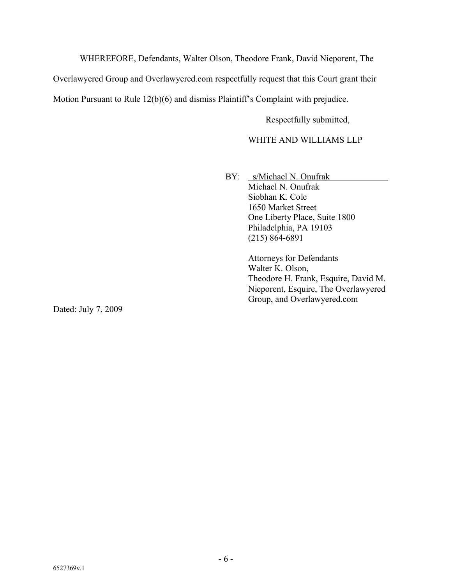WHEREFORE, Defendants, Walter Olson, Theodore Frank, David Nieporent, The

Overlawyered Group and Overlawyered.com respectfully request that this Court grant their

Motion Pursuant to Rule 12(b)(6) and dismiss Plaintiff's Complaint with prejudice.

Respectfully submitted,

WHITE AND WILLIAMS LLP

BY: s/Michael N. Onufrak

Michael N. Onufrak Siobhan K. Cole 1650 Market Street One Liberty Place, Suite 1800 Philadelphia, PA 19103 (215) 864-6891

Attorneys for Defendants Walter K. Olson, Theodore H. Frank, Esquire, David M. Nieporent, Esquire, The Overlawyered Group, and Overlawyered.com